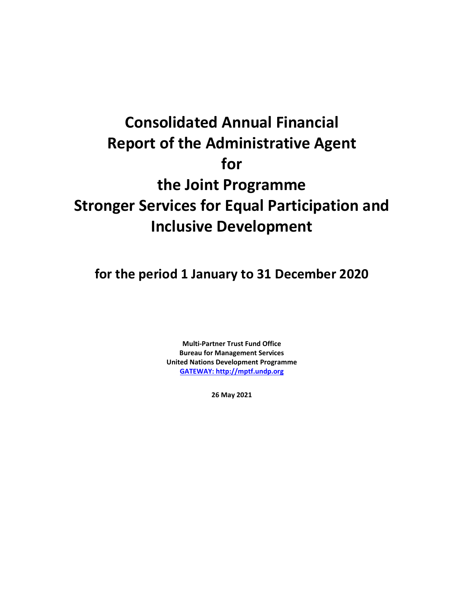# **Consolidated Annual Financial Report of the Administrative Agent for the Joint Programme Stronger Services for Equal Participation and Inclusive Development**

**for the period 1 January to 31 December 2020**

**Multi-Partner Trust Fund Office Bureau for Management Services United Nations Development Programme [GATEWAY: http://mptf.undp.org](http://mptf.undp.org/)**

**26 May 2021**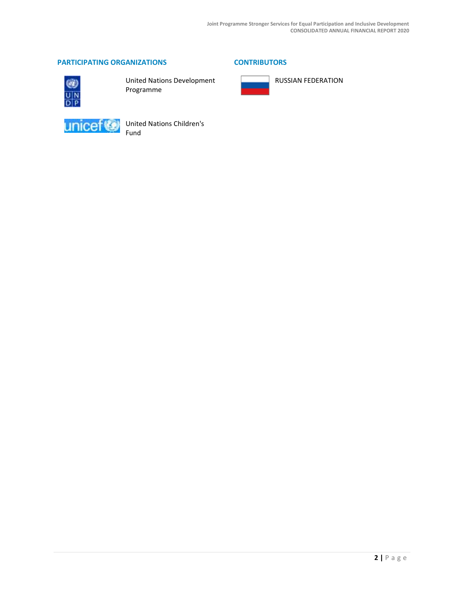# **PARTICIPATING ORGANIZATIONS CONTRIBUTORS**



United Nations Development Programme



United Nations Children's Fund



RUSSIAN FEDERATION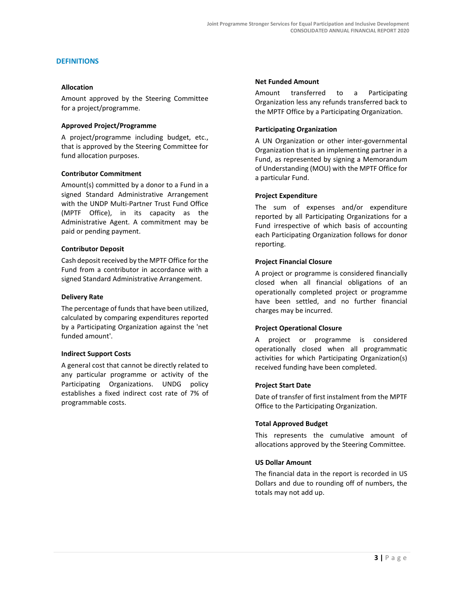#### **DEFINITIONS**

#### **Allocation**

Amount approved by the Steering Committee for a project/programme.

#### **Approved Project/Programme**

A project/programme including budget, etc., that is approved by the Steering Committee for fund allocation purposes.

#### **Contributor Commitment**

Amount(s) committed by a donor to a Fund in a signed Standard Administrative Arrangement with the UNDP Multi-Partner Trust Fund Office (MPTF Office), in its capacity as the Administrative Agent. A commitment may be paid or pending payment.

#### **Contributor Deposit**

Cash deposit received by the MPTF Office for the Fund from a contributor in accordance with a signed Standard Administrative Arrangement.

#### **Delivery Rate**

The percentage of funds that have been utilized, calculated by comparing expenditures reported by a Participating Organization against the 'net funded amount'.

#### **Indirect Support Costs**

A general cost that cannot be directly related to any particular programme or activity of the Participating Organizations. UNDG policy establishes a fixed indirect cost rate of 7% of programmable costs.

#### **Net Funded Amount**

Amount transferred to a Participating Organization less any refunds transferred back to the MPTF Office by a Participating Organization.

#### **Participating Organization**

A UN Organization or other inter-governmental Organization that is an implementing partner in a Fund, as represented by signing a Memorandum of Understanding (MOU) with the MPTF Office for a particular Fund.

#### **Project Expenditure**

The sum of expenses and/or expenditure reported by all Participating Organizations for a Fund irrespective of which basis of accounting each Participating Organization follows for donor reporting.

#### **Project Financial Closure**

A project or programme is considered financially closed when all financial obligations of an operationally completed project or programme have been settled, and no further financial charges may be incurred.

#### **Project Operational Closure**

A project or programme is considered operationally closed when all programmatic activities for which Participating Organization(s) received funding have been completed.

#### **Project Start Date**

Date of transfer of first instalment from the MPTF Office to the Participating Organization.

#### **Total Approved Budget**

This represents the cumulative amount of allocations approved by the Steering Committee.

#### **US Dollar Amount**

The financial data in the report is recorded in US Dollars and due to rounding off of numbers, the totals may not add up.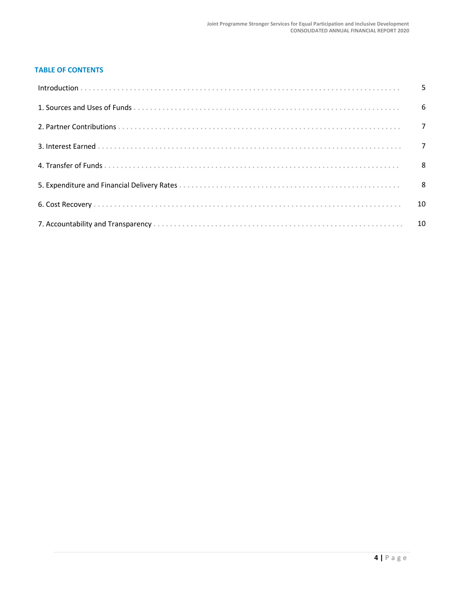# **TABLE OF CONTENTS**

| 10 |
|----|
|    |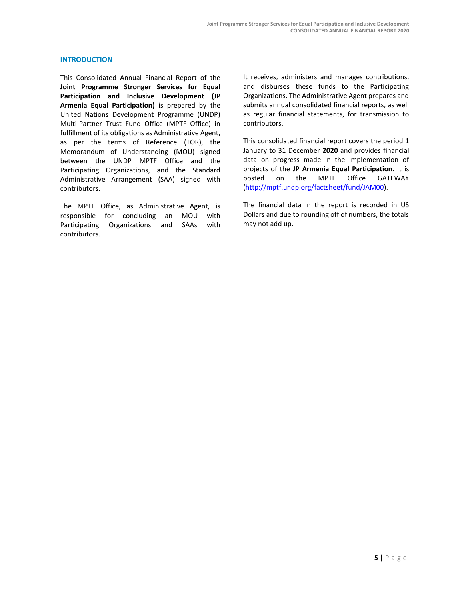#### **INTRODUCTION**

This Consolidated Annual Financial Report of the **Joint Programme Stronger Services for Equal Participation and Inclusive Development (JP Armenia Equal Participation)** is prepared by the United Nations Development Programme (UNDP) Multi-Partner Trust Fund Office (MPTF Office) in fulfillment of its obligations as Administrative Agent, as per the terms of Reference (TOR), the Memorandum of Understanding (MOU) signed between the UNDP MPTF Office and the Participating Organizations, and the Standard Administrative Arrangement (SAA) signed with contributors.

The MPTF Office, as Administrative Agent, is responsible for concluding an MOU with Participating Organizations and SAAs with contributors.

It receives, administers and manages contributions, and disburses these funds to the Participating Organizations. The Administrative Agent prepares and submits annual consolidated financial reports, as well as regular financial statements, for transmission to contributors.

This consolidated financial report covers the period 1 January to 31 December **2020** and provides financial data on progress made in the implementation of projects of the **JP Armenia Equal Participation**. It is posted on the MPTF Office GATEWAY [\(http://mptf.undp.org/factsheet/fund/JAM00\)](http://mptf.undp.org/factsheet/fund/JAM00).

The financial data in the report is recorded in US Dollars and due to rounding off of numbers, the totals may not add up.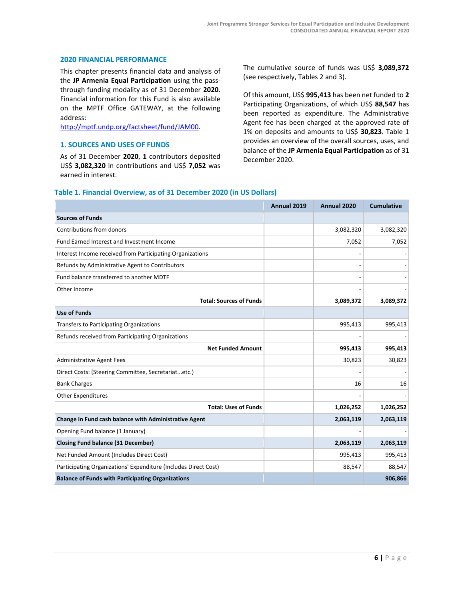#### **2020 FINANCIAL PERFORMANCE**

This chapter presents financial data and analysis of the **JP Armenia Equal Participation** using the passthrough funding modality as of 31 December **2020**. Financial information for this Fund is also available on the MPTF Office GATEWAY, at the following address:

[http://mptf.undp.org/factsheet/fund/JAM00.](http://mptf.undp.org/factsheet/fund/JAM00)

#### **1. SOURCES AND USES OF FUNDS**

As of 31 December **2020**, **1** contributors deposited US\$ **3,082,320** in contributions and US\$ **7,052** was earned in interest.

The cumulative source of funds was US\$ **3,089,372** (see respectively, Tables 2 and 3).

Of this amount, US\$ **995,413** has been net funded to **2** Participating Organizations, of which US\$ **88,547** has been reported as expenditure. The Administrative Agent fee has been charged at the approved rate of 1% on deposits and amounts to US\$ **30,823**. Table 1 provides an overview of the overall sources, uses, and balance of the **JP Armenia Equal Participation** as of 31 December 2020.

#### **Table 1. Financial Overview, as of 31 December 2020 (in US Dollars)**

|                                                                 | Annual 2019 | Annual 2020 | <b>Cumulative</b> |
|-----------------------------------------------------------------|-------------|-------------|-------------------|
| <b>Sources of Funds</b>                                         |             |             |                   |
| Contributions from donors                                       |             | 3,082,320   | 3,082,320         |
| Fund Earned Interest and Investment Income                      |             | 7,052       | 7,052             |
| Interest Income received from Participating Organizations       |             |             |                   |
| Refunds by Administrative Agent to Contributors                 |             |             |                   |
| Fund balance transferred to another MDTF                        |             |             |                   |
| Other Income                                                    |             |             |                   |
| <b>Total: Sources of Funds</b>                                  |             | 3,089,372   | 3,089,372         |
| <b>Use of Funds</b>                                             |             |             |                   |
| <b>Transfers to Participating Organizations</b>                 |             | 995,413     | 995,413           |
| Refunds received from Participating Organizations               |             |             |                   |
| <b>Net Funded Amount</b>                                        |             | 995,413     | 995,413           |
| <b>Administrative Agent Fees</b>                                |             | 30,823      | 30,823            |
| Direct Costs: (Steering Committee, Secretariatetc.)             |             |             |                   |
| <b>Bank Charges</b>                                             |             | 16          | 16                |
| <b>Other Expenditures</b>                                       |             |             |                   |
| <b>Total: Uses of Funds</b>                                     |             | 1,026,252   | 1,026,252         |
| Change in Fund cash balance with Administrative Agent           |             | 2,063,119   | 2,063,119         |
| Opening Fund balance (1 January)                                |             |             |                   |
| <b>Closing Fund balance (31 December)</b>                       |             | 2,063,119   | 2,063,119         |
| Net Funded Amount (Includes Direct Cost)                        |             | 995,413     | 995,413           |
| Participating Organizations' Expenditure (Includes Direct Cost) |             | 88,547      | 88,547            |
| <b>Balance of Funds with Participating Organizations</b>        |             |             | 906,866           |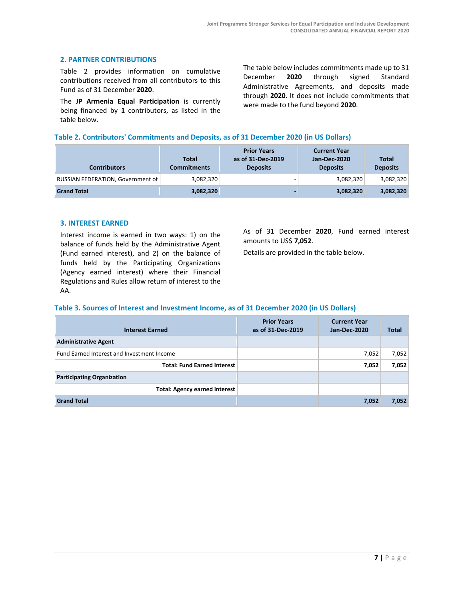# **2. PARTNER CONTRIBUTIONS**

Table 2 provides information on cumulative contributions received from all contributors to this Fund as of 31 December **2020**.

The **JP Armenia Equal Participation** is currently being financed by **1** contributors, as listed in the table below.

The table below includes commitments made up to 31 December **2020** through signed Standard Administrative Agreements, and deposits made through **2020**. It does not include commitments that were made to the fund beyond **2020**.

#### **Table 2. Contributors' Commitments and Deposits, as of 31 December 2020 (in US Dollars)**

| <b>Contributors</b>               | Total<br><b>Commitments</b> | <b>Prior Years</b><br>as of 31-Dec-2019<br><b>Deposits</b> | <b>Current Year</b><br>Jan-Dec-2020<br><b>Deposits</b> | <b>Total</b><br><b>Deposits</b> |
|-----------------------------------|-----------------------------|------------------------------------------------------------|--------------------------------------------------------|---------------------------------|
| RUSSIAN FEDERATION, Government of | 3,082,320                   | -                                                          | 3,082,320                                              | 3,082,320                       |
| <b>Grand Total</b>                | 3,082,320                   |                                                            | 3,082,320                                              | 3,082,320                       |

#### **3. INTEREST EARNED**

Interest income is earned in two ways: 1) on the balance of funds held by the Administrative Agent (Fund earned interest), and 2) on the balance of funds held by the Participating Organizations (Agency earned interest) where their Financial Regulations and Rules allow return of interest to the AA.

As of 31 December **2020**, Fund earned interest amounts to US\$ **7,052**.

Details are provided in the table below.

#### **Table 3. Sources of Interest and Investment Income, as of 31 December 2020 (in US Dollars)**

| <b>Interest Earned</b>                     | <b>Prior Years</b><br>as of 31-Dec-2019 | <b>Current Year</b><br>Jan-Dec-2020 | Total |
|--------------------------------------------|-----------------------------------------|-------------------------------------|-------|
| <b>Administrative Agent</b>                |                                         |                                     |       |
| Fund Earned Interest and Investment Income |                                         | 7,052                               | 7,052 |
| <b>Total: Fund Earned Interest</b>         |                                         | 7,052                               | 7,052 |
| <b>Participating Organization</b>          |                                         |                                     |       |
| <b>Total: Agency earned interest</b>       |                                         |                                     |       |
| <b>Grand Total</b>                         |                                         | 7,052                               | 7,052 |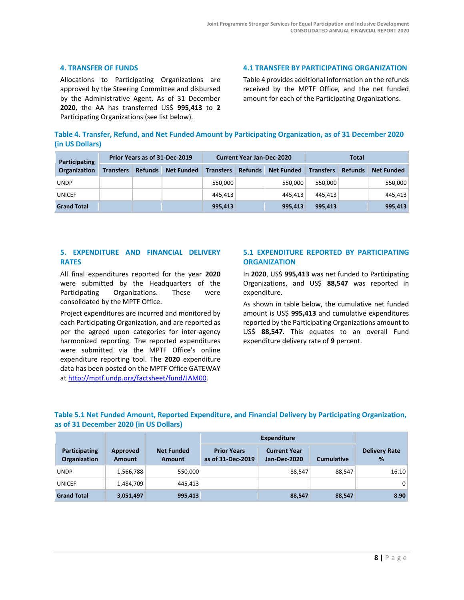### **4. TRANSFER OF FUNDS**

Allocations to Participating Organizations are approved by the Steering Committee and disbursed by the Administrative Agent. As of 31 December **2020**, the AA has transferred US\$ **995,413** to **2** Participating Organizations (see list below).

**4.1 TRANSFER BY PARTICIPATING ORGANIZATION**

Table 4 provides additional information on the refunds received by the MPTF Office, and the net funded amount for each of the Participating Organizations.

|                 | Table 4. Transfer, Refund, and Net Funded Amount by Participating Organization, as of 31 December 2020 |  |  |
|-----------------|--------------------------------------------------------------------------------------------------------|--|--|
| (in US Dollars) |                                                                                                        |  |  |

| Prior Years as of 31-Dec-2019<br><b>Participating</b> |                  |                | <b>Current Year Jan-Dec-2020</b> |                  |                | Total             |                  |                |                   |
|-------------------------------------------------------|------------------|----------------|----------------------------------|------------------|----------------|-------------------|------------------|----------------|-------------------|
| <b>Organization</b>                                   | <b>Transfers</b> | <b>Refunds</b> | <b>Net Funded</b>                | <b>Transfers</b> | <b>Refunds</b> | <b>Net Funded</b> | <b>Transfers</b> | <b>Refunds</b> | <b>Net Funded</b> |
| <b>UNDP</b>                                           |                  |                |                                  | 550,000          |                | 550.000           | 550.000          |                | 550,000           |
| <b>UNICEF</b>                                         |                  |                |                                  | 445.413          |                | 445.413           | 445.413          |                | 445,413           |
| <b>Grand Total</b>                                    |                  |                |                                  | 995,413          |                | 995.413           | 995.413          |                | 995,413           |

# **5. EXPENDITURE AND FINANCIAL DELIVERY RATES**

All final expenditures reported for the year **2020** were submitted by the Headquarters of the Participating Organizations. These were consolidated by the MPTF Office.

Project expenditures are incurred and monitored by each Participating Organization, and are reported as per the agreed upon categories for inter-agency harmonized reporting. The reported expenditures were submitted via the MPTF Office's online expenditure reporting tool. The **2020** expenditure data has been posted on the MPTF Office GATEWAY at [http://mptf.undp.org/factsheet/fund/JAM00.](http://mptf.undp.org/factsheet/fund/JAM00)

# **5.1 EXPENDITURE REPORTED BY PARTICIPATING ORGANIZATION**

In **2020**, US\$ **995,413** was net funded to Participating Organizations, and US\$ **88,547** was reported in expenditure.

As shown in table below, the cumulative net funded amount is US\$ **995,413** and cumulative expenditures reported by the Participating Organizations amount to US\$ **88,547**. This equates to an overall Fund expenditure delivery rate of **9** percent.

# **Table 5.1 Net Funded Amount, Reported Expenditure, and Financial Delivery by Participating Organization, as of 31 December 2020 (in US Dollars)**

|                               |                           |                                    | <b>Expenditure</b>                      |                                            |                   |                           |
|-------------------------------|---------------------------|------------------------------------|-----------------------------------------|--------------------------------------------|-------------------|---------------------------|
| Participating<br>Organization | Approved<br><b>Amount</b> | <b>Net Funded</b><br><b>Amount</b> | <b>Prior Years</b><br>as of 31-Dec-2019 | <b>Current Year</b><br><b>Jan-Dec-2020</b> | <b>Cumulative</b> | <b>Delivery Rate</b><br>% |
| <b>UNDP</b>                   | 1,566,788                 | 550,000                            |                                         | 88,547                                     | 88.547            | 16.10                     |
| <b>UNICEF</b>                 | 1,484,709                 | 445.413                            |                                         |                                            |                   | 0                         |
| <b>Grand Total</b>            | 3,051,497                 | 995,413                            |                                         | 88,547                                     | 88,547            | 8.90                      |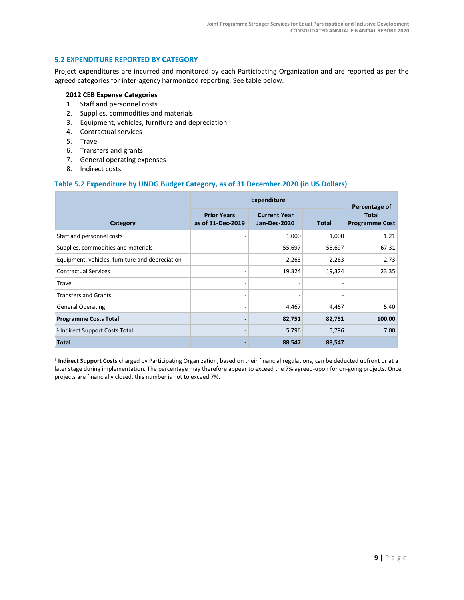# **5.2 EXPENDITURE REPORTED BY CATEGORY**

Project expenditures are incurred and monitored by each Participating Organization and are reported as per the agreed categories for inter-agency harmonized reporting. See table below.

#### **2012 CEB Expense Categories**

- 1. Staff and personnel costs
- 2. Supplies, commodities and materials
- 3. Equipment, vehicles, furniture and depreciation
- 4. Contractual services
- 5. Travel
- 6. Transfers and grants
- 7. General operating expenses
- 8. Indirect costs

\_\_\_\_\_\_\_\_\_\_\_\_\_\_\_\_\_\_\_\_\_\_

## **Table 5.2 Expenditure by UNDG Budget Category, as of 31 December 2020 (in US Dollars)**

|                                                 |                                         | <b>Expenditure</b>                         |              |                                                        |  |
|-------------------------------------------------|-----------------------------------------|--------------------------------------------|--------------|--------------------------------------------------------|--|
| Category                                        | <b>Prior Years</b><br>as of 31-Dec-2019 | <b>Current Year</b><br><b>Jan-Dec-2020</b> | <b>Total</b> | Percentage of<br><b>Total</b><br><b>Programme Cost</b> |  |
| Staff and personnel costs                       |                                         | 1,000                                      | 1,000        | 1.21                                                   |  |
| Supplies, commodities and materials             |                                         | 55,697                                     | 55,697       | 67.31                                                  |  |
| Equipment, vehicles, furniture and depreciation |                                         | 2,263                                      | 2,263        | 2.73                                                   |  |
| <b>Contractual Services</b>                     |                                         | 19,324                                     | 19,324       | 23.35                                                  |  |
| Travel                                          |                                         |                                            |              |                                                        |  |
| <b>Transfers and Grants</b>                     |                                         |                                            |              |                                                        |  |
| <b>General Operating</b>                        |                                         | 4,467                                      | 4,467        | 5.40                                                   |  |
| <b>Programme Costs Total</b>                    |                                         | 82,751                                     | 82,751       | 100.00                                                 |  |
| <sup>1</sup> Indirect Support Costs Total       |                                         | 5,796                                      | 5,796        | 7.00                                                   |  |
| <b>Total</b>                                    |                                         | 88,547                                     | 88,547       |                                                        |  |

**1 Indirect Support Costs** charged by Participating Organization, based on their financial regulations, can be deducted upfront or at a later stage during implementation. The percentage may therefore appear to exceed the 7% agreed-upon for on-going projects. Once projects are financially closed, this number is not to exceed 7%.